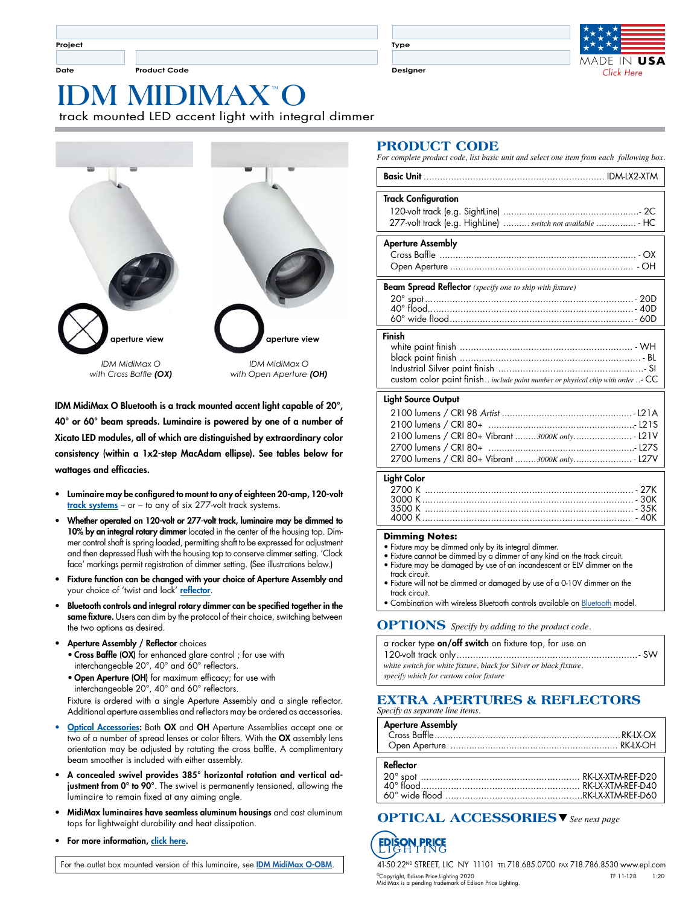**Project**

**Date Product Code Designer**

**Type**



## **MIDIMAX<sup>™</sup>** track mounted LED accent light with integral dimmer



IDM MidiMax O Bluetooth is a track mounted accent light capable of 20°, 40° or 60° beam spreads. Luminaire is powered by one of a number of Xicato LED modules, all of which are distinguished by extraordinary color consistency (within a 1x2-step MacAdam ellipse). See tables below for wattages and efficacies.

- Luminaire may be configured to mount to any of eighteen 20-amp, 120-volt <u>[track systems](http://www.epl.com/browse/?category=5)</u> – or – to any of six 277-volt [track systems](http://www.epl.com/browse/?category=5).
- Whether operated on 120-volt or 277-volt track, luminaire may be dimmed to 10% by an integral rotary dimmer located in the center of the housing top. Dimmer control shaft is spring loaded, permitting shaft to be expressed for adjustment and then depressed flush with the housing top to conserve dimmer setting. 'Clock face' markings permit registration of dimmer setting. (See illustrations below.)
- Fixture function can be changed with your choice of Aperture Assembly and your choice of 'twist and lock' [reflector](http://www.epl.com/products/reflectors/).
- Bluetooth controls and integral rotary dimmer can be specified together in the same fixture. Users can dim by the protocol of their choice, switching between the two options as desired.
- Aperture Assembly / Reflector choices • Cross Baffle (OX) for enhanced glare control ; for use with interchangeable 20°, 40° and 60° reflectors.
	- Open Aperture (OH) for maximum efficacy; for use with interchangeable 20°, 40° and 60° reflectors.

Fixture is ordered with a single Aperture Assembly and a single reflector. Additional aperture assemblies and reflectors may be ordered as accessories.

- [Optical Accessories:](http://www.epl.com/optical-accessories) Both OX and OH Aperture Assemblies accept one or two of a number of spread lenses or color filters. With the OX assembly lens orientation may be adjusted by rotating the cross baffle. A complimentary beam smoother is included with either assembly.
- A concealed swivel provides 385° horizontal rotation and vertical adjustment from 0° to 90°. The swivel is permanently tensioned, allowing the luminaire to remain fixed at any aiming angle.
- MidiMax luminaires have seamless aluminum housings and cast aluminum tops for lightweight durability and heat dissipation.
- For more information, [click here.](http://www.epl.com/products/894/)

For the outlet box mounted version of this luminaire, see [IDM MidiMax O-OBM](https://www.epl.com/products/1024/).

#### **PRODUCT CODE**

*For complete product code, list basic unit and select one item from each following box.*

| <b>Track Configuration</b><br>277-volt track (e.g. HighLine)  switch not available  - HC                                          |
|-----------------------------------------------------------------------------------------------------------------------------------|
| <b>Aperture Assembly</b>                                                                                                          |
| Beam Spread Reflector (specify one to ship with fixture)                                                                          |
| Finish<br>custom color paint finish include paint number or physical chip with order - CC                                         |
| <b>Light Source Output</b><br>2100 lumens / CRI 80+ Vibrant 3000K only  - L21V<br>2700 lumens / CRI 80+ Vibrant 3000K only - L27V |
| <b>Light Color</b>                                                                                                                |

#### **Dimming Notes:**

- Fixture may be dimmed only by its integral dimmer.
- Fixture cannot be dimmed by a dimmer of any kind on the track circuit.
- Fixture may be damaged by use of an incandescent or ELV dimmer on the track circuit.

4000 K ............................................................................ - 40K

- Fixture will not be dimmed or damaged by use of a 0-10V dimmer on the track circuit.
- **Combination with wireless [Bluetooth](http://www.epl.com/products/894/) controls available on Bluetooth model.**

#### **OPTIONS** *Specify by adding to the product code.*

| a rocker type on/off switch on fixture top, for use on             |
|--------------------------------------------------------------------|
|                                                                    |
| white switch for white fixture, black for Silver or black fixture, |
| specify which for custom color fixture                             |

#### **EXTRA APERTURES & REFLECTORS** *Specify as separate line items.*

| <b>Aperture Assembly</b> |  |
|--------------------------|--|
| Reflector                |  |

#### s **OPTICAL ACCESSORIES** *See next page*

## **FPIS**

41-50 22ND STREET, LIC NY 11101 tel 718.685.0700 fax 718.786.8530 www.epl.com ©Copyright, Edison Price Lighting 2020 TF 11-128 1:20 MidiMax is a pending trademark of Edison Price Lighting.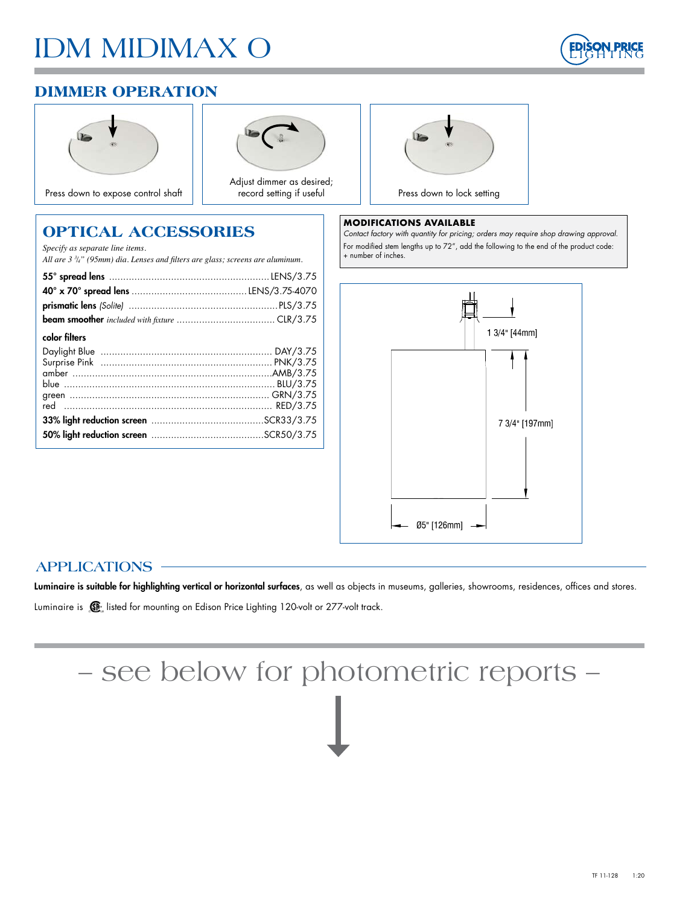# IDM MIDIMAX O



## **DIMMER OPERATION**





Adjust dimmer as desired; record setting if useful



#### **MODIFICATIONS AVAILABLE**

*Contact factory with quantity for pricing; orders may require shop drawing approval.* For modified stem lengths up to 72", add the following to the end of the product code: + number of inches.



#### **OPTICAL ACCESSORIES** *Specify as separate line items.*

*All are 3 3 /4" (95mm) dia. Lenses and filters are glass; screens are aluminum.*

| color filters |  |
|---------------|--|
|               |  |
|               |  |
|               |  |
|               |  |
|               |  |
|               |  |
|               |  |
|               |  |
|               |  |

### **APPLICATIONS**

Luminaire is suitable for highlighting vertical or horizontal surfaces, as well as objects in museums, galleries, showrooms, residences, offices and stores.

Luminaire is  $\mathbb{G}$  listed for mounting on Edison Price Lighting 120-volt or 277-volt track.

# – see below for photometric reports –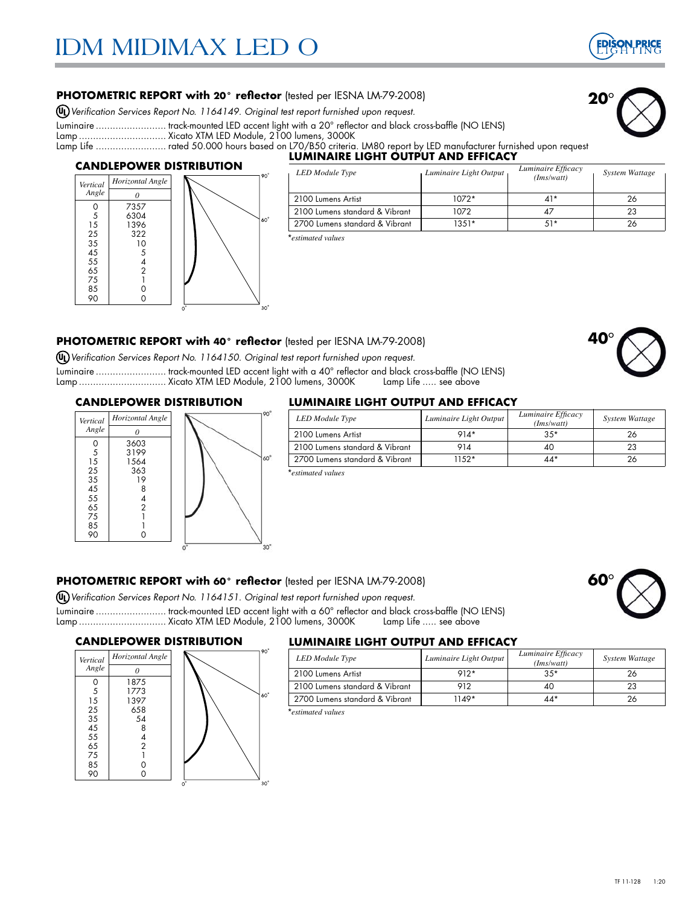

**20**°

#### **PHOTOMETRIC REPORT with 20° reflector** (tested per IESNA LM-79-2008)

*Verification Services Report No. 1164149. Original test report furnished upon request.*

Luminaire ......................... track-mounted LED accent light with a 20° reflector and black cross-baffle (NO LENS)

Lamp ............................... Xicato XTM LED Module, 2100 lumens, 3000K

Lamp Life ......................... rated 50.000 hours based on L70/B50 criteria. LM80 report by LED manufacturer furnished upon request

#### **CANDLEPOWER DISTRIBUTION**



#### **LUMINAIRE LIGHT OUTPUT AND EFFICACY**<br> **LEDM ANDERS CONTROL** *Interior Light Output Luminaire Efficacy LED Module Type Luminaire Light Output System Wattage Luminaire Efficacy (Ims/watt)* 2100 Lumens Artist 1072\* 41\* 26

2100 Lumens standard & Vibrant 1072 1072 47 23 2700 Lumens standard & Vibrant 1351\* 1351\* 51\* 151\* 26

| *estimated values |  |
|-------------------|--|

#### **PHOTOMETRIC REPORT with 40° reflector** (tested per IESNA LM-79-2008)

*Verification Services Report No. 1164150. Original test report furnished upon request.*

Luminaire ......................... track-mounted LED accent light with a 40° reflector and black cross-baffle (NO LENS) Lamp ................................. Xicato XTM LED Module, 2100 lumens, 3000K

# **40**°

**60**°

#### **CANDLEPOWER DISTRIBUTION**



#### **LUMINAIRE LIGHT OUTPUT AND EFFICACY**

| <b>LED</b> Module Type         | Luminaire Light Output | Luminaire Efficacy<br>(Ims/watt) | System Wattage |
|--------------------------------|------------------------|----------------------------------|----------------|
| 2100 Lumens Artist             | $914*$                 | $35*$                            | 26             |
| 2100 Lumens standard & Vibrant | 914                    | 40                               | 23             |
| 2700 Lumens standard & Vibrant | $1152*$                | $44*$                            | 26             |
| *estimated values              |                        |                                  |                |

#### **PHOTOMETRIC REPORT with 60° reflector** (tested per IESNA LM-79-2008)

*Verification Services Report No. 1164151. Original test report furnished upon request.*

Luminaire ......................... track-mounted LED accent light with a 60° reflector and black cross-baffle (NO LENS) Lamp ................................. Xicato XTM LED Module, 2100 lumens, 3000K

#### **CANDLEPOWER DISTRIBUTION**



#### **LUMINAIRE LIGHT OUTPUT AND EFFICACY**

| Horizontal Angle |             | <b>LED</b> Module Type         | Luminaire Light Output | Luminaire Efficacy<br>(Ims/watt) | <b>System Wattage</b> |
|------------------|-------------|--------------------------------|------------------------|----------------------------------|-----------------------|
|                  |             | . 2100 Lumens Artist           | $912*$                 | $35*$                            |                       |
| 1875<br>1773     |             | 2100 Lumens standard & Vibrant | 912                    | 4C                               |                       |
| 1397             | $160^\circ$ | 2700 Lumens standard & Vibrant | 1149*                  | $44*$                            |                       |
| 658              |             | *estimated values              |                        |                                  |                       |

\**estimated values*